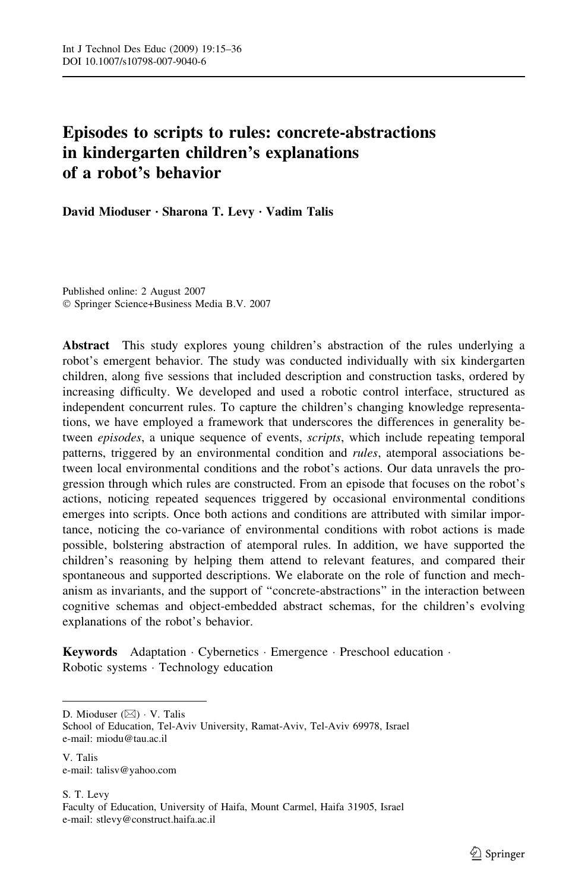# Episodes to scripts to rules: concrete-abstractions in kindergarten children's explanations of a robot's behavior

David Mioduser · Sharona T. Levy · Vadim Talis

Published online: 2 August 2007 ! Springer Science+Business Media B.V. 2007

Abstract This study explores young children's abstraction of the rules underlying a robot's emergent behavior. The study was conducted individually with six kindergarten children, along five sessions that included description and construction tasks, ordered by increasing difficulty. We developed and used a robotic control interface, structured as independent concurrent rules. To capture the children's changing knowledge representations, we have employed a framework that underscores the differences in generality between episodes, a unique sequence of events, scripts, which include repeating temporal patterns, triggered by an environmental condition and *rules*, atemporal associations between local environmental conditions and the robot's actions. Our data unravels the progression through which rules are constructed. From an episode that focuses on the robot's actions, noticing repeated sequences triggered by occasional environmental conditions emerges into scripts. Once both actions and conditions are attributed with similar importance, noticing the co-variance of environmental conditions with robot actions is made possible, bolstering abstraction of atemporal rules. In addition, we have supported the children's reasoning by helping them attend to relevant features, and compared their spontaneous and supported descriptions. We elaborate on the role of function and mechanism as invariants, and the support of ''concrete-abstractions'' in the interaction between cognitive schemas and object-embedded abstract schemas, for the children's evolving explanations of the robot's behavior.

Keywords Adaptation · Cybernetics · Emergence · Preschool education · Robotic systems · Technology education

S. T. Levy Faculty of Education, University of Haifa, Mount Carmel, Haifa 31905, Israel e-mail: stlevy@construct.haifa.ac.il

D. Mioduser  $(\boxtimes) \cdot V$ . Talis

School of Education, Tel-Aviv University, Ramat-Aviv, Tel-Aviv 69978, Israel e-mail: miodu@tau.ac.il

V. Talis e-mail: talisv@yahoo.com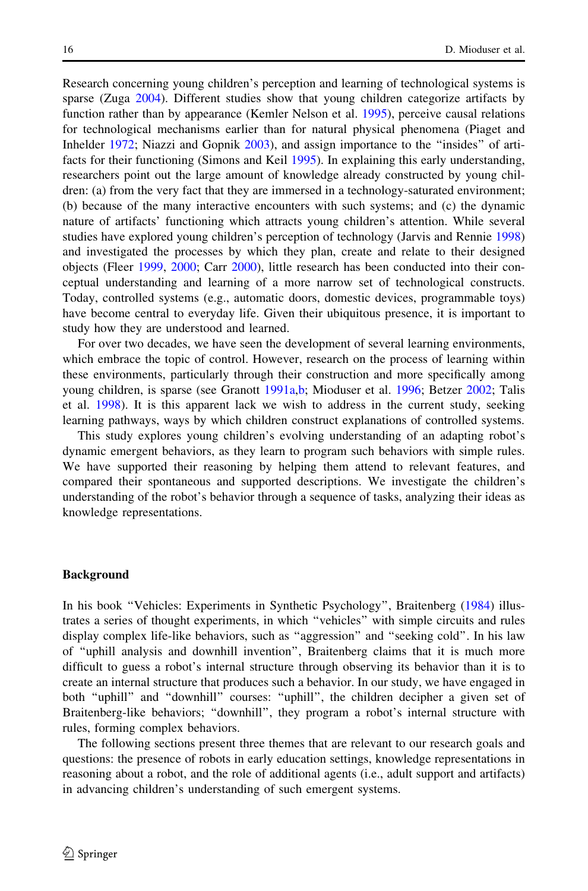Research concerning young children's perception and learning of technological systems is sparse (Zuga [2004](#page-21-0)). Different studies show that young children categorize artifacts by function rather than by appearance (Kemler Nelson et al. [1995\)](#page-20-0), perceive causal relations for technological mechanisms earlier than for natural physical phenomena (Piaget and Inhelder [1972;](#page-21-0) Niazzi and Gopnik [2003\)](#page-21-0), and assign importance to the "insides" of artifacts for their functioning (Simons and Keil [1995\)](#page-21-0). In explaining this early understanding, researchers point out the large amount of knowledge already constructed by young children: (a) from the very fact that they are immersed in a technology-saturated environment; (b) because of the many interactive encounters with such systems; and (c) the dynamic nature of artifacts' functioning which attracts young children's attention. While several studies have explored young children's perception of technology (Jarvis and Rennie [1998](#page-20-0)) and investigated the processes by which they plan, create and relate to their designed objects (Fleer [1999](#page-20-0), [2000;](#page-20-0) Carr [2000](#page-20-0)), little research has been conducted into their conceptual understanding and learning of a more narrow set of technological constructs. Today, controlled systems (e.g., automatic doors, domestic devices, programmable toys) have become central to everyday life. Given their ubiquitous presence, it is important to study how they are understood and learned.

For over two decades, we have seen the development of several learning environments, which embrace the topic of control. However, research on the process of learning within these environments, particularly through their construction and more specifically among young children, is sparse (see Granott [1991a,b;](#page-20-0) Mioduser et al. [1996;](#page-21-0) Betzer [2002;](#page-20-0) Talis et al. [1998](#page-21-0)). It is this apparent lack we wish to address in the current study, seeking learning pathways, ways by which children construct explanations of controlled systems.

This study explores young children's evolving understanding of an adapting robot's dynamic emergent behaviors, as they learn to program such behaviors with simple rules. We have supported their reasoning by helping them attend to relevant features, and compared their spontaneous and supported descriptions. We investigate the children's understanding of the robot's behavior through a sequence of tasks, analyzing their ideas as knowledge representations.

## Background

In his book ''Vehicles: Experiments in Synthetic Psychology'', Braitenberg ([1984\)](#page-20-0) illustrates a series of thought experiments, in which ''vehicles'' with simple circuits and rules display complex life-like behaviors, such as "aggression" and "seeking cold". In his law of ''uphill analysis and downhill invention'', Braitenberg claims that it is much more difficult to guess a robot's internal structure through observing its behavior than it is to create an internal structure that produces such a behavior. In our study, we have engaged in both ''uphill'' and ''downhill'' courses: ''uphill'', the children decipher a given set of Braitenberg-like behaviors; ''downhill'', they program a robot's internal structure with rules, forming complex behaviors.

The following sections present three themes that are relevant to our research goals and questions: the presence of robots in early education settings, knowledge representations in reasoning about a robot, and the role of additional agents (i.e., adult support and artifacts) in advancing children's understanding of such emergent systems.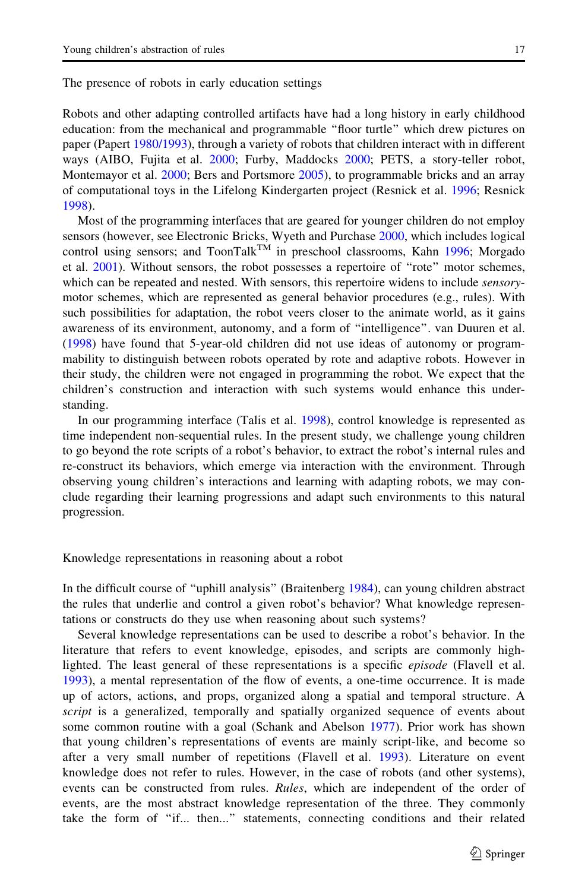The presence of robots in early education settings

Robots and other adapting controlled artifacts have had a long history in early childhood education: from the mechanical and programmable ''floor turtle'' which drew pictures on paper (Papert [1980/1993](#page-21-0)), through a variety of robots that children interact with in different ways (AIBO, Fujita et al. [2000;](#page-20-0) Furby, Maddocks [2000;](#page-21-0) PETS, a story-teller robot, Montemayor et al. [2000;](#page-21-0) Bers and Portsmore [2005](#page-20-0)), to programmable bricks and an array of computational toys in the Lifelong Kindergarten project (Resnick et al. [1996](#page-21-0); Resnick [1998\)](#page-21-0).

Most of the programming interfaces that are geared for younger children do not employ sensors (however, see Electronic Bricks, Wyeth and Purchase [2000](#page-21-0), which includes logical control using sensors; and ToonTalk<sup>TM</sup> in preschool classrooms, Kahn [1996](#page-20-0); Morgado et al. [2001](#page-21-0)). Without sensors, the robot possesses a repertoire of ''rote'' motor schemes, which can be repeated and nested. With sensors, this repertoire widens to include *sensory*motor schemes, which are represented as general behavior procedures (e.g., rules). With such possibilities for adaptation, the robot veers closer to the animate world, as it gains awareness of its environment, autonomy, and a form of ''intelligence''. van Duuren et al. ([1998\)](#page-21-0) have found that 5-year-old children did not use ideas of autonomy or programmability to distinguish between robots operated by rote and adaptive robots. However in their study, the children were not engaged in programming the robot. We expect that the children's construction and interaction with such systems would enhance this understanding.

In our programming interface (Talis et al. [1998](#page-21-0)), control knowledge is represented as time independent non-sequential rules. In the present study, we challenge young children to go beyond the rote scripts of a robot's behavior, to extract the robot's internal rules and re-construct its behaviors, which emerge via interaction with the environment. Through observing young children's interactions and learning with adapting robots, we may conclude regarding their learning progressions and adapt such environments to this natural progression.

Knowledge representations in reasoning about a robot

In the difficult course of ''uphill analysis'' (Braitenberg [1984](#page-20-0)), can young children abstract the rules that underlie and control a given robot's behavior? What knowledge representations or constructs do they use when reasoning about such systems?

Several knowledge representations can be used to describe a robot's behavior. In the literature that refers to event knowledge, episodes, and scripts are commonly highlighted. The least general of these representations is a specific episode (Flavell et al. [1993\)](#page-20-0), a mental representation of the flow of events, a one-time occurrence. It is made up of actors, actions, and props, organized along a spatial and temporal structure. A script is a generalized, temporally and spatially organized sequence of events about some common routine with a goal (Schank and Abelson [1977\)](#page-21-0). Prior work has shown that young children's representations of events are mainly script-like, and become so after a very small number of repetitions (Flavell et al. [1993](#page-20-0)). Literature on event knowledge does not refer to rules. However, in the case of robots (and other systems), events can be constructed from rules. Rules, which are independent of the order of events, are the most abstract knowledge representation of the three. They commonly take the form of ''if... then...'' statements, connecting conditions and their related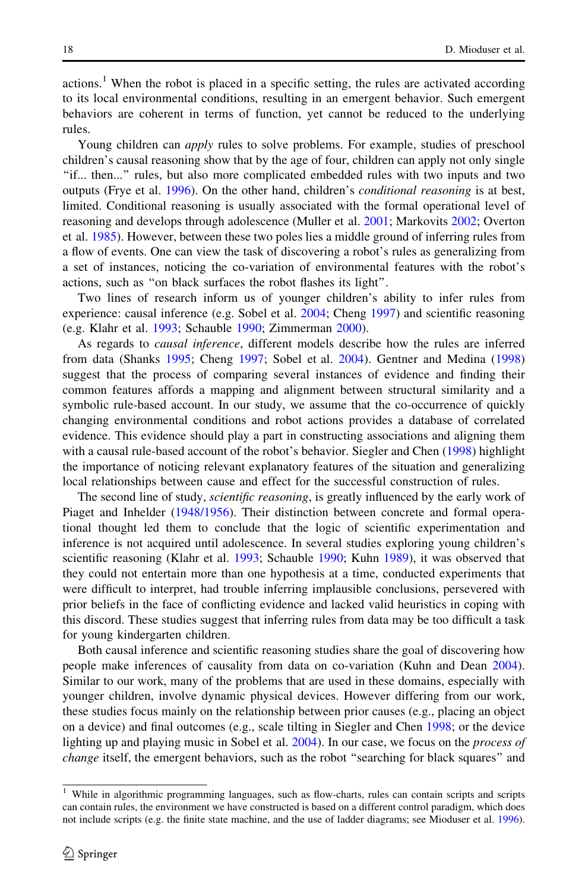actions.<sup>1</sup> When the robot is placed in a specific setting, the rules are activated according to its local environmental conditions, resulting in an emergent behavior. Such emergent behaviors are coherent in terms of function, yet cannot be reduced to the underlying rules.

Young children can *apply* rules to solve problems. For example, studies of preschool children's causal reasoning show that by the age of four, children can apply not only single ''if... then...'' rules, but also more complicated embedded rules with two inputs and two outputs (Frye et al. [1996\)](#page-20-0). On the other hand, children's conditional reasoning is at best, limited. Conditional reasoning is usually associated with the formal operational level of reasoning and develops through adolescence (Muller et al. [2001;](#page-21-0) Markovits [2002](#page-21-0); Overton et al. [1985](#page-21-0)). However, between these two poles lies a middle ground of inferring rules from a flow of events. One can view the task of discovering a robot's rules as generalizing from a set of instances, noticing the co-variation of environmental features with the robot's actions, such as ''on black surfaces the robot flashes its light''.

Two lines of research inform us of younger children's ability to infer rules from experience: causal inference (e.g. Sobel et al. [2004;](#page-21-0) Cheng [1997\)](#page-20-0) and scientific reasoning (e.g. Klahr et al. [1993;](#page-20-0) Schauble [1990;](#page-21-0) Zimmerman [2000](#page-21-0)).

As regards to causal inference, different models describe how the rules are inferred from data (Shanks [1995;](#page-21-0) Cheng [1997](#page-20-0); Sobel et al. [2004](#page-21-0)). Gentner and Medina ([1998](#page-20-0)) suggest that the process of comparing several instances of evidence and finding their common features affords a mapping and alignment between structural similarity and a symbolic rule-based account. In our study, we assume that the co-occurrence of quickly changing environmental conditions and robot actions provides a database of correlated evidence. This evidence should play a part in constructing associations and aligning them with a causal rule-based account of the robot's behavior. Siegler and Chen ([1998\)](#page-21-0) highlight the importance of noticing relevant explanatory features of the situation and generalizing local relationships between cause and effect for the successful construction of rules.

The second line of study, scientific reasoning, is greatly influenced by the early work of Piaget and Inhelder ([1948/1956](#page-21-0)). Their distinction between concrete and formal operational thought led them to conclude that the logic of scientific experimentation and inference is not acquired until adolescence. In several studies exploring young children's scientific reasoning (Klahr et al. [1993;](#page-20-0) Schauble [1990;](#page-21-0) Kuhn [1989\)](#page-20-0), it was observed that they could not entertain more than one hypothesis at a time, conducted experiments that were difficult to interpret, had trouble inferring implausible conclusions, persevered with prior beliefs in the face of conflicting evidence and lacked valid heuristics in coping with this discord. These studies suggest that inferring rules from data may be too difficult a task for young kindergarten children.

Both causal inference and scientific reasoning studies share the goal of discovering how people make inferences of causality from data on co-variation (Kuhn and Dean [2004](#page-20-0)). Similar to our work, many of the problems that are used in these domains, especially with younger children, involve dynamic physical devices. However differing from our work, these studies focus mainly on the relationship between prior causes (e.g., placing an object on a device) and final outcomes (e.g., scale tilting in Siegler and Chen [1998;](#page-21-0) or the device lighting up and playing music in Sobel et al. [2004](#page-21-0)). In our case, we focus on the process of change itself, the emergent behaviors, such as the robot ''searching for black squares'' and

<sup>&</sup>lt;sup>1</sup> While in algorithmic programming languages, such as flow-charts, rules can contain scripts and scripts can contain rules, the environment we have constructed is based on a different control paradigm, which does not include scripts (e.g. the finite state machine, and the use of ladder diagrams; see Mioduser et al. [1996\)](#page-21-0).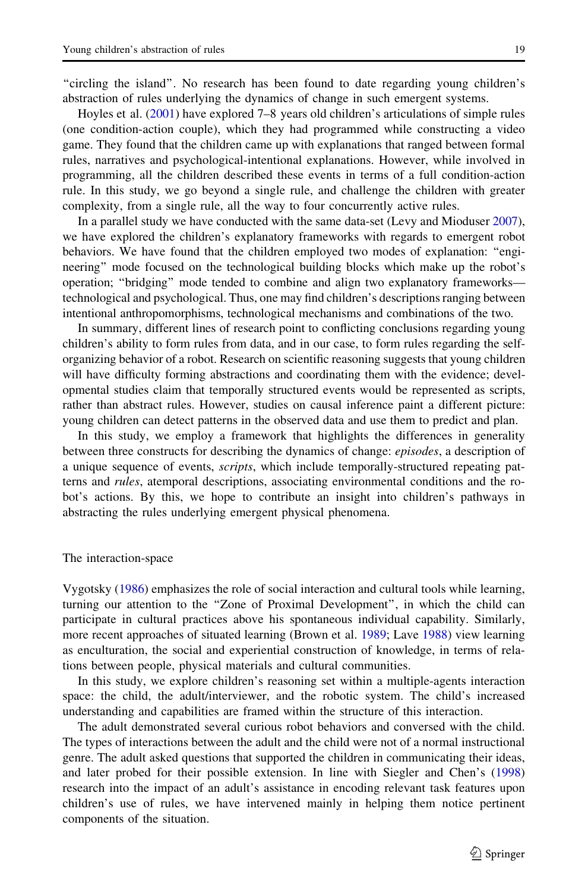''circling the island''. No research has been found to date regarding young children's abstraction of rules underlying the dynamics of change in such emergent systems.

Hoyles et al. [\(2001](#page-20-0)) have explored 7–8 years old children's articulations of simple rules (one condition-action couple), which they had programmed while constructing a video game. They found that the children came up with explanations that ranged between formal rules, narratives and psychological-intentional explanations. However, while involved in programming, all the children described these events in terms of a full condition-action rule. In this study, we go beyond a single rule, and challenge the children with greater complexity, from a single rule, all the way to four concurrently active rules.

In a parallel study we have conducted with the same data-set (Levy and Mioduser [2007](#page-21-0)), we have explored the children's explanatory frameworks with regards to emergent robot behaviors. We have found that the children employed two modes of explanation: ''engineering'' mode focused on the technological building blocks which make up the robot's operation; ''bridging'' mode tended to combine and align two explanatory frameworks technological and psychological. Thus, one may find children's descriptions ranging between intentional anthropomorphisms, technological mechanisms and combinations of the two.

In summary, different lines of research point to conflicting conclusions regarding young children's ability to form rules from data, and in our case, to form rules regarding the selforganizing behavior of a robot. Research on scientific reasoning suggests that young children will have difficulty forming abstractions and coordinating them with the evidence; developmental studies claim that temporally structured events would be represented as scripts, rather than abstract rules. However, studies on causal inference paint a different picture: young children can detect patterns in the observed data and use them to predict and plan.

In this study, we employ a framework that highlights the differences in generality between three constructs for describing the dynamics of change: episodes, a description of a unique sequence of events, scripts, which include temporally-structured repeating patterns and rules, atemporal descriptions, associating environmental conditions and the robot's actions. By this, we hope to contribute an insight into children's pathways in abstracting the rules underlying emergent physical phenomena.

#### The interaction-space

Vygotsky ([1986\)](#page-21-0) emphasizes the role of social interaction and cultural tools while learning, turning our attention to the ''Zone of Proximal Development'', in which the child can participate in cultural practices above his spontaneous individual capability. Similarly, more recent approaches of situated learning (Brown et al. [1989;](#page-20-0) Lave [1988\)](#page-20-0) view learning as enculturation, the social and experiential construction of knowledge, in terms of relations between people, physical materials and cultural communities.

In this study, we explore children's reasoning set within a multiple-agents interaction space: the child, the adult/interviewer, and the robotic system. The child's increased understanding and capabilities are framed within the structure of this interaction.

The adult demonstrated several curious robot behaviors and conversed with the child. The types of interactions between the adult and the child were not of a normal instructional genre. The adult asked questions that supported the children in communicating their ideas, and later probed for their possible extension. In line with Siegler and Chen's ([1998](#page-21-0)) research into the impact of an adult's assistance in encoding relevant task features upon children's use of rules, we have intervened mainly in helping them notice pertinent components of the situation.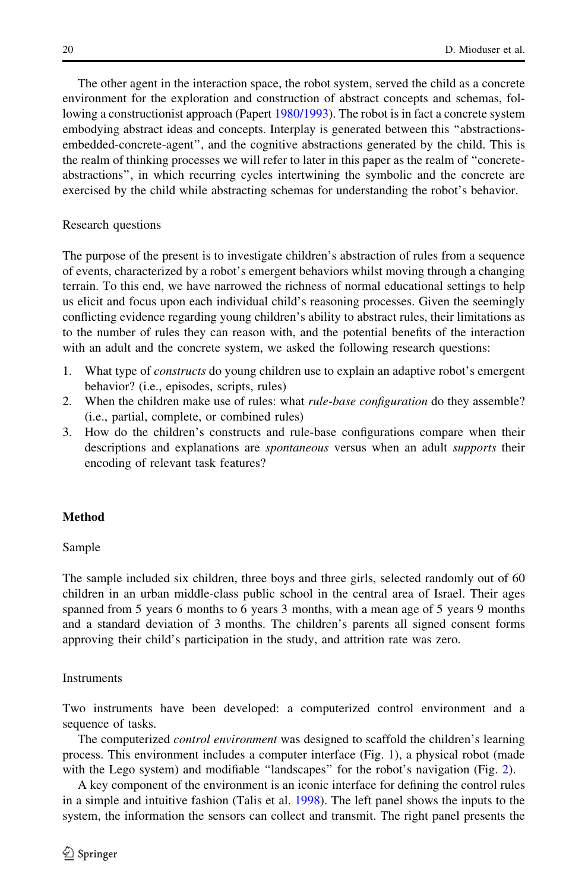The other agent in the interaction space, the robot system, served the child as a concrete environment for the exploration and construction of abstract concepts and schemas, fol-lowing a constructionist approach (Papert [1980/1993\)](#page-21-0). The robot is in fact a concrete system embodying abstract ideas and concepts. Interplay is generated between this ''abstractionsembedded-concrete-agent'', and the cognitive abstractions generated by the child. This is the realm of thinking processes we will refer to later in this paper as the realm of ''concreteabstractions'', in which recurring cycles intertwining the symbolic and the concrete are exercised by the child while abstracting schemas for understanding the robot's behavior.

# Research questions

The purpose of the present is to investigate children's abstraction of rules from a sequence of events, characterized by a robot's emergent behaviors whilst moving through a changing terrain. To this end, we have narrowed the richness of normal educational settings to help us elicit and focus upon each individual child's reasoning processes. Given the seemingly conflicting evidence regarding young children's ability to abstract rules, their limitations as to the number of rules they can reason with, and the potential benefits of the interaction with an adult and the concrete system, we asked the following research questions:

- 1. What type of constructs do young children use to explain an adaptive robot's emergent behavior? (i.e., episodes, scripts, rules)
- 2. When the children make use of rules: what *rule-base configuration* do they assemble? (i.e., partial, complete, or combined rules)
- 3. How do the children's constructs and rule-base configurations compare when their descriptions and explanations are spontaneous versus when an adult supports their encoding of relevant task features?

#### Method

## Sample

The sample included six children, three boys and three girls, selected randomly out of 60 children in an urban middle-class public school in the central area of Israel. Their ages spanned from 5 years 6 months to 6 years 3 months, with a mean age of 5 years 9 months and a standard deviation of 3 months. The children's parents all signed consent forms approving their child's participation in the study, and attrition rate was zero.

# **Instruments**

Two instruments have been developed: a computerized control environment and a sequence of tasks.

The computerized *control environment* was designed to scaffold the children's learning process. This environment includes a computer interface (Fig. [1](#page-6-0)), a physical robot (made with the Lego system) and modifiable "landscapes" for the robot's navigation (Fig. [2](#page-7-0)).

A key component of the environment is an iconic interface for defining the control rules in a simple and intuitive fashion (Talis et al. [1998](#page-21-0)). The left panel shows the inputs to the system, the information the sensors can collect and transmit. The right panel presents the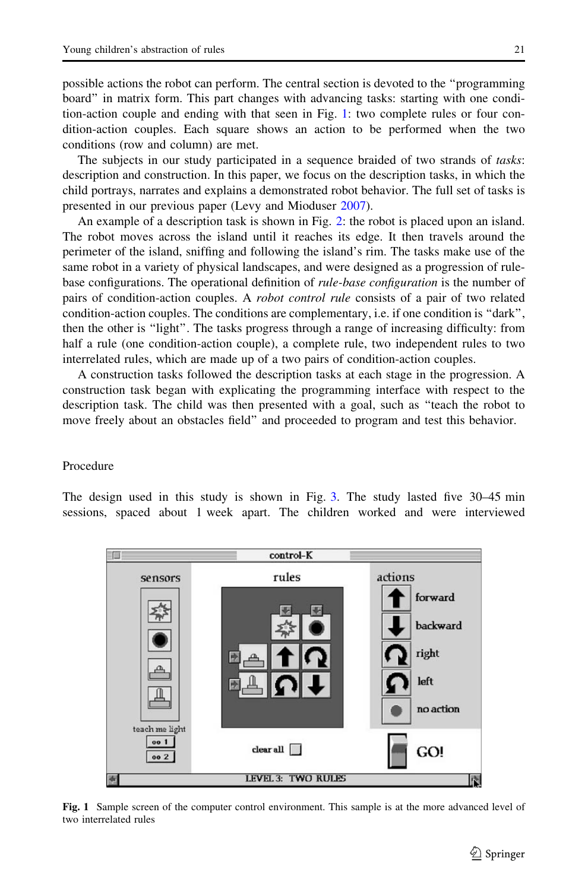possible actions the robot can perform. The central section is devoted to the ''programming board'' in matrix form. This part changes with advancing tasks: starting with one condition-action couple and ending with that seen in Fig. [1](#page-6-0): two complete rules or four condition-action couples. Each square shows an action to be performed when the two conditions (row and column) are met.

The subjects in our study participated in a sequence braided of two strands of tasks: description and construction. In this paper, we focus on the description tasks, in which the child portrays, narrates and explains a demonstrated robot behavior. The full set of tasks is presented in our previous paper (Levy and Mioduser [2007\)](#page-21-0).

An example of a description task is shown in Fig. [2](#page-7-0): the robot is placed upon an island. The robot moves across the island until it reaches its edge. It then travels around the perimeter of the island, sniffing and following the island's rim. The tasks make use of the same robot in a variety of physical landscapes, and were designed as a progression of rulebase configurations. The operational definition of *rule-base configuration* is the number of pairs of condition-action couples. A robot control rule consists of a pair of two related condition-action couples. The conditions are complementary, i.e. if one condition is ''dark'', then the other is ''light''. The tasks progress through a range of increasing difficulty: from half a rule (one condition-action couple), a complete rule, two independent rules to two interrelated rules, which are made up of a two pairs of condition-action couples.

A construction tasks followed the description tasks at each stage in the progression. A construction task began with explicating the programming interface with respect to the description task. The child was then presented with a goal, such as ''teach the robot to move freely about an obstacles field'' and proceeded to program and test this behavior.

#### Procedure

The design used in this study is shown in Fig. [3.](#page-8-0) The study lasted five 30–45 min sessions, spaced about 1 week apart. The children worked and were interviewed



<span id="page-6-0"></span>Fig. 1 Sample screen of the computer control environment. This sample is at the more advanced level of two interrelated rules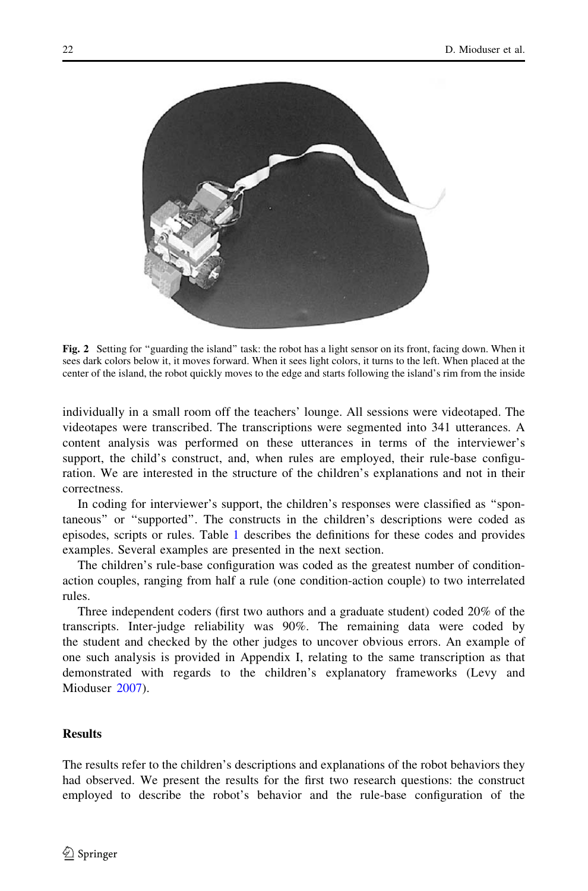

Fig. 2 Setting for "guarding the island" task: the robot has a light sensor on its front, facing down. When it sees dark colors below it, it moves forward. When it sees light colors, it turns to the left. When placed at the center of the island, the robot quickly moves to the edge and starts following the island's rim from the inside

individually in a small room off the teachers' lounge. All sessions were videotaped. The videotapes were transcribed. The transcriptions were segmented into 341 utterances. A content analysis was performed on these utterances in terms of the interviewer's support, the child's construct, and, when rules are employed, their rule-base configuration. We are interested in the structure of the children's explanations and not in their correctness.

In coding for interviewer's support, the children's responses were classified as ''spontaneous'' or ''supported''. The constructs in the children's descriptions were coded as episodes, scripts or rules. Table [1](#page-8-0) describes the definitions for these codes and provides examples. Several examples are presented in the next section.

The children's rule-base configuration was coded as the greatest number of conditionaction couples, ranging from half a rule (one condition-action couple) to two interrelated rules.

Three independent coders (first two authors and a graduate student) coded 20% of the transcripts. Inter-judge reliability was 90%. The remaining data were coded by the student and checked by the other judges to uncover obvious errors. An example of one such analysis is provided in Appendix I, relating to the same transcription as that demonstrated with regards to the children's explanatory frameworks (Levy and Mioduser [2007](#page-21-0)).

# Results

<span id="page-7-0"></span>The results refer to the children's descriptions and explanations of the robot behaviors they had observed. We present the results for the first two research questions: the construct employed to describe the robot's behavior and the rule-base configuration of the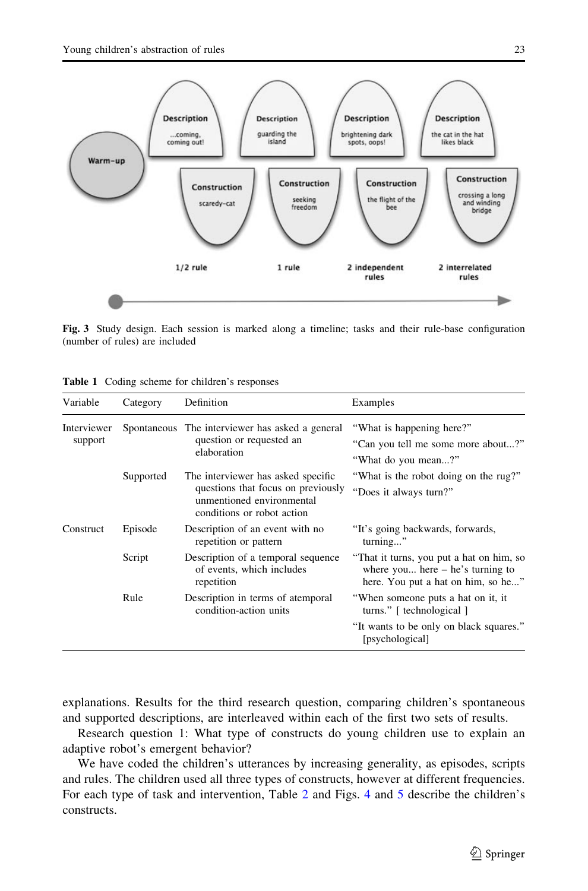

Fig. 3 Study design. Each session is marked along a timeline; tasks and their rule-base configuration (number of rules) are included

| Variable               | Category  | Definition                                                                                                                          | Examples                                                                                                             |  |
|------------------------|-----------|-------------------------------------------------------------------------------------------------------------------------------------|----------------------------------------------------------------------------------------------------------------------|--|
| Interviewer<br>support |           | Spontaneous The interviewer has asked a general<br>question or requested an<br>elaboration                                          | "What is happening here?"<br>"Can you tell me some more about?"<br>"What do you mean?"                               |  |
|                        | Supported | The interviewer has asked specific<br>questions that focus on previously<br>unmentioned environmental<br>conditions or robot action | "What is the robot doing on the rug?"<br>"Does it always turn?"                                                      |  |
| Construct              | Episode   | Description of an event with no<br>repetition or pattern                                                                            | "It's going backwards, forwards,<br>turning"                                                                         |  |
|                        | Script    | Description of a temporal sequence<br>of events, which includes<br>repetition                                                       | "That it turns, you put a hat on him, so<br>where you here $-$ he's turning to<br>here. You put a hat on him, so he" |  |
|                        | Rule      | Description in terms of atemporal<br>condition-action units                                                                         | "When someone puts a hat on it, it<br>turns." [ technological ]                                                      |  |
|                        |           |                                                                                                                                     | "It wants to be only on black squares."<br>[psychological]                                                           |  |

Table 1 Coding scheme for children's responses

explanations. Results for the third research question, comparing children's spontaneous and supported descriptions, are interleaved within each of the first two sets of results.

Research question 1: What type of constructs do young children use to explain an adaptive robot's emergent behavior?

<span id="page-8-0"></span>We have coded the children's utterances by increasing generality, as episodes, scripts and rules. The children used all three types of constructs, however at different frequencies. For each type of task and intervention, Table [2](#page-9-0) and Figs. [4](#page-9-0) and [5](#page-10-0) describe the children's constructs.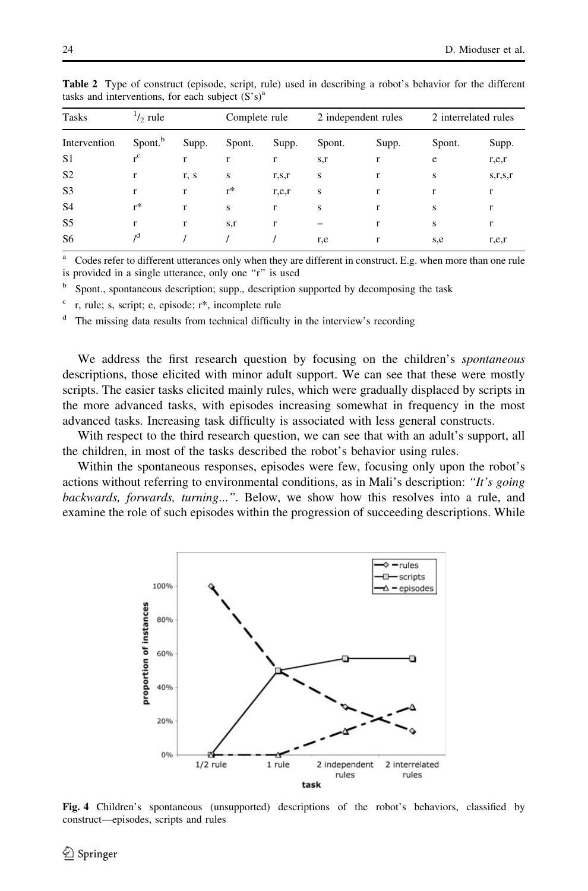| Tasks          | $\frac{1}{2}$ rule  |       | Complete rule |       | 2 independent rules |       | 2 interrelated rules |            |
|----------------|---------------------|-------|---------------|-------|---------------------|-------|----------------------|------------|
| Intervention   | Spont. <sup>b</sup> | Supp. | Spont.        | Supp. | Spont.              | Supp. | Spont.               | Supp.      |
| S <sub>1</sub> | $r^{c}$             | r     | r             | r     | s,r                 | r     | e                    | r.e.r      |
| S <sub>2</sub> | r                   | r, s  | S             | r,s,r | s                   | r     | S                    | S, T, S, T |
| S <sub>3</sub> | r                   | r     | $r^*$         | r.e.r | s                   | r     | r                    | r          |
| S <sub>4</sub> | $r^*$               | r     | S             | r     | S                   | r     | S                    | r          |
| S <sub>5</sub> | r                   | r     | s,r           | r     |                     | r     | S                    | r          |
| S6             | /d                  |       |               |       | r.e                 | r     | s,e                  | r.e.r      |

Table 2 Type of construct (episode, script, rule) used in describing a robot's behavior for the different tasks and interventions, for each subject  $(S's)^a$ 

Codes refer to different utterances only when they are different in construct. E.g. when more than one rule is provided in a single utterance, only one "r" is used

<sup>b</sup> Spont., spontaneous description; supp., description supported by decomposing the task

<sup>c</sup> r, rule; s, script; e, episode; r\*, incomplete rule

The missing data results from technical difficulty in the interview's recording

We address the first research question by focusing on the children's *spontaneous* descriptions, those elicited with minor adult support. We can see that these were mostly scripts. The easier tasks elicited mainly rules, which were gradually displaced by scripts in the more advanced tasks, with episodes increasing somewhat in frequency in the most advanced tasks. Increasing task difficulty is associated with less general constructs.

With respect to the third research question, we can see that with an adult's support, all the children, in most of the tasks described the robot's behavior using rules.

Within the spontaneous responses, episodes were few, focusing only upon the robot's actions without referring to environmental conditions, as in Mali's description: "It's going backwards, forwards, turning...". Below, we show how this resolves into a rule, and examine the role of such episodes within the progression of succeeding descriptions. While



<span id="page-9-0"></span>Fig. 4 Children's spontaneous (unsupported) descriptions of the robot's behaviors, classified by construct—episodes, scripts and rules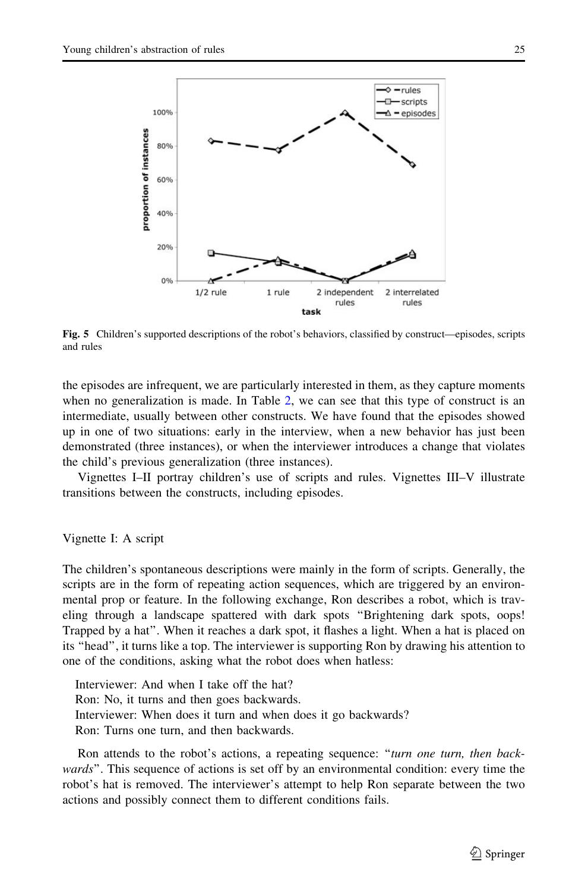

Fig. 5 Children's supported descriptions of the robot's behaviors, classified by construct—episodes, scripts and rules

the episodes are infrequent, we are particularly interested in them, as they capture moments when no generalization is made. In Table [2,](#page-9-0) we can see that this type of construct is an intermediate, usually between other constructs. We have found that the episodes showed up in one of two situations: early in the interview, when a new behavior has just been demonstrated (three instances), or when the interviewer introduces a change that violates the child's previous generalization (three instances).

Vignettes I–II portray children's use of scripts and rules. Vignettes III–V illustrate transitions between the constructs, including episodes.

## Vignette I: A script

The children's spontaneous descriptions were mainly in the form of scripts. Generally, the scripts are in the form of repeating action sequences, which are triggered by an environmental prop or feature. In the following exchange, Ron describes a robot, which is traveling through a landscape spattered with dark spots ''Brightening dark spots, oops! Trapped by a hat''. When it reaches a dark spot, it flashes a light. When a hat is placed on its ''head'', it turns like a top. The interviewer is supporting Ron by drawing his attention to one of the conditions, asking what the robot does when hatless:

Interviewer: And when I take off the hat? Ron: No, it turns and then goes backwards. Interviewer: When does it turn and when does it go backwards? Ron: Turns one turn, and then backwards.

<span id="page-10-0"></span>Ron attends to the robot's actions, a repeating sequence: "turn one turn, then backwards". This sequence of actions is set off by an environmental condition: every time the robot's hat is removed. The interviewer's attempt to help Ron separate between the two actions and possibly connect them to different conditions fails.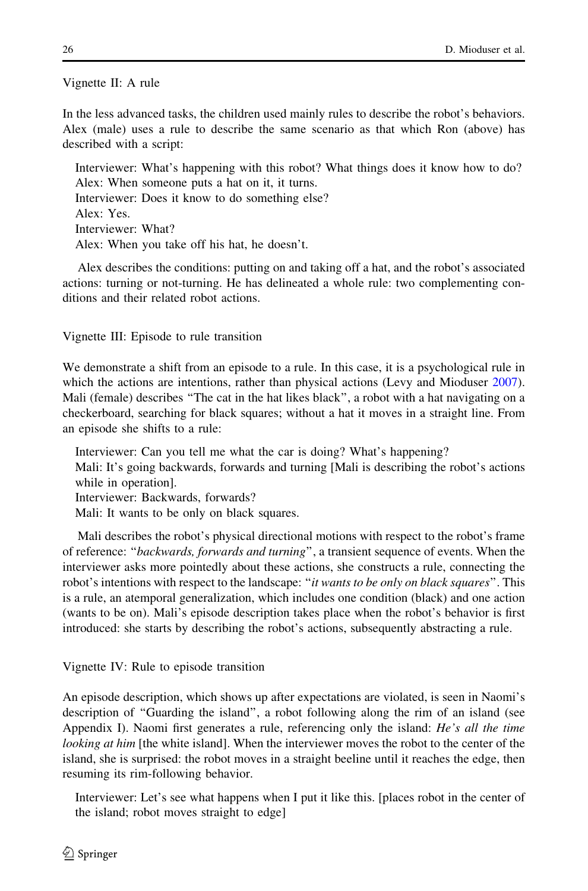Vignette II: A rule

In the less advanced tasks, the children used mainly rules to describe the robot's behaviors. Alex (male) uses a rule to describe the same scenario as that which Ron (above) has described with a script:

Interviewer: What's happening with this robot? What things does it know how to do? Alex: When someone puts a hat on it, it turns. Interviewer: Does it know to do something else? Alex: Yes. Interviewer: What? Alex: When you take off his hat, he doesn't.

Alex describes the conditions: putting on and taking off a hat, and the robot's associated actions: turning or not-turning. He has delineated a whole rule: two complementing conditions and their related robot actions.

Vignette III: Episode to rule transition

We demonstrate a shift from an episode to a rule. In this case, it is a psychological rule in which the actions are intentions, rather than physical actions (Levy and Mioduser [2007](#page-21-0)). Mali (female) describes "The cat in the hat likes black", a robot with a hat navigating on a checkerboard, searching for black squares; without a hat it moves in a straight line. From an episode she shifts to a rule:

Interviewer: Can you tell me what the car is doing? What's happening? Mali: It's going backwards, forwards and turning [Mali is describing the robot's actions while in operation]. Interviewer: Backwards, forwards? Mali: It wants to be only on black squares.

Mali describes the robot's physical directional motions with respect to the robot's frame of reference: "backwards, forwards and turning", a transient sequence of events. When the interviewer asks more pointedly about these actions, she constructs a rule, connecting the robot's intentions with respect to the landscape: "*it wants to be only on black squares*". This is a rule, an atemporal generalization, which includes one condition (black) and one action (wants to be on). Mali's episode description takes place when the robot's behavior is first introduced: she starts by describing the robot's actions, subsequently abstracting a rule.

Vignette IV: Rule to episode transition

An episode description, which shows up after expectations are violated, is seen in Naomi's description of ''Guarding the island'', a robot following along the rim of an island (see Appendix I). Naomi first generates a rule, referencing only the island:  $He's$  all the time *looking at him* [the white island]. When the interviewer moves the robot to the center of the island, she is surprised: the robot moves in a straight beeline until it reaches the edge, then resuming its rim-following behavior.

Interviewer: Let's see what happens when I put it like this. [places robot in the center of the island; robot moves straight to edge]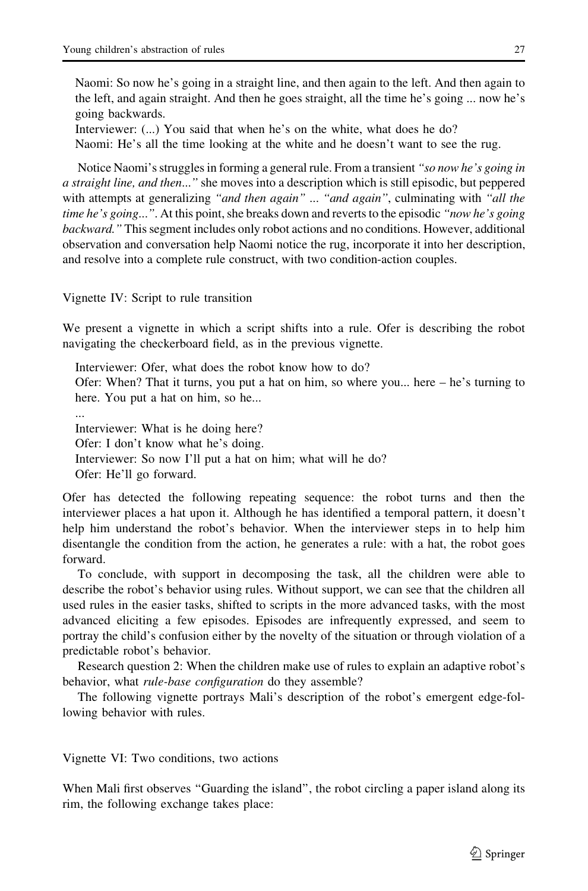Naomi: So now he's going in a straight line, and then again to the left. And then again to the left, and again straight. And then he goes straight, all the time he's going ... now he's going backwards.

Interviewer: (...) You said that when he's on the white, what does he do? Naomi: He's all the time looking at the white and he doesn't want to see the rug.

Notice Naomi's struggles in forming a general rule. From a transient "so now he's going in a straight line, and then...'' she moves into a description which is still episodic, but peppered with attempts at generalizing "and then again" ... "and again", culminating with "all the time he's going...". At this point, she breaks down and reverts to the episodic "now he's going backward.'' This segment includes only robot actions and no conditions. However, additional observation and conversation help Naomi notice the rug, incorporate it into her description, and resolve into a complete rule construct, with two condition-action couples.

Vignette IV: Script to rule transition

We present a vignette in which a script shifts into a rule. Ofer is describing the robot navigating the checkerboard field, as in the previous vignette.

Interviewer: Ofer, what does the robot know how to do? Ofer: When? That it turns, you put a hat on him, so where you... here – he's turning to here. You put a hat on him, so he... ...

Interviewer: What is he doing here? Ofer: I don't know what he's doing. Interviewer: So now I'll put a hat on him; what will he do? Ofer: He'll go forward.

Ofer has detected the following repeating sequence: the robot turns and then the interviewer places a hat upon it. Although he has identified a temporal pattern, it doesn't help him understand the robot's behavior. When the interviewer steps in to help him disentangle the condition from the action, he generates a rule: with a hat, the robot goes forward.

To conclude, with support in decomposing the task, all the children were able to describe the robot's behavior using rules. Without support, we can see that the children all used rules in the easier tasks, shifted to scripts in the more advanced tasks, with the most advanced eliciting a few episodes. Episodes are infrequently expressed, and seem to portray the child's confusion either by the novelty of the situation or through violation of a predictable robot's behavior.

Research question 2: When the children make use of rules to explain an adaptive robot's behavior, what rule-base configuration do they assemble?

The following vignette portrays Mali's description of the robot's emergent edge-following behavior with rules.

Vignette VI: Two conditions, two actions

When Mali first observes "Guarding the island", the robot circling a paper island along its rim, the following exchange takes place: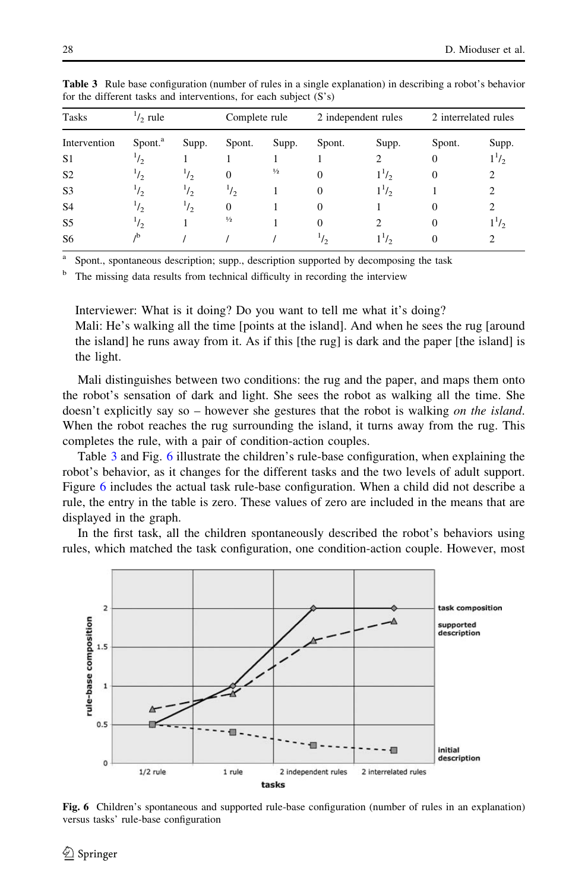$\frac{1}{2}$  0 2

| Tasks<br>$\frac{1}{2}$ rule<br>Complete rule<br>2 independent rules<br>Spont. <sup>a</sup><br>Intervention<br>Supp.<br>Spont.<br>Supp.<br>Spont.<br>Supp.<br>Spont.<br>S <sub>1</sub><br>$^{1}/_{2}$<br>$^{0}$<br>$\frac{1}{2}$<br>S <sub>2</sub><br>$1^{1/2}$<br>$^{1}/_{2}$<br>$^{0}$<br>0<br>$_{0}$<br>$\frac{1}{2}$<br>S <sub>3</sub><br>$1^{1/2}$<br>$^{1}/_{2}$<br>$^{1}/_{2}$<br>$^{1}/_{2}$<br>0<br>S <sub>4</sub><br>$^{1}/_{2}$<br>$\theta$<br>0<br>$\frac{1}{2}$<br>$\frac{1}{2}$<br>S <sub>5</sub><br>$^{1}/_{2}$<br>0 | Tor and allowing all all the relations, for each subject to st |  |  |  |  |  |  |                      |           |
|------------------------------------------------------------------------------------------------------------------------------------------------------------------------------------------------------------------------------------------------------------------------------------------------------------------------------------------------------------------------------------------------------------------------------------------------------------------------------------------------------------------------------------|----------------------------------------------------------------|--|--|--|--|--|--|----------------------|-----------|
|                                                                                                                                                                                                                                                                                                                                                                                                                                                                                                                                    |                                                                |  |  |  |  |  |  | 2 interrelated rules |           |
|                                                                                                                                                                                                                                                                                                                                                                                                                                                                                                                                    |                                                                |  |  |  |  |  |  |                      | Supp.     |
|                                                                                                                                                                                                                                                                                                                                                                                                                                                                                                                                    |                                                                |  |  |  |  |  |  |                      | $1^{1/2}$ |
|                                                                                                                                                                                                                                                                                                                                                                                                                                                                                                                                    |                                                                |  |  |  |  |  |  |                      |           |
|                                                                                                                                                                                                                                                                                                                                                                                                                                                                                                                                    |                                                                |  |  |  |  |  |  |                      |           |
|                                                                                                                                                                                                                                                                                                                                                                                                                                                                                                                                    |                                                                |  |  |  |  |  |  |                      |           |
|                                                                                                                                                                                                                                                                                                                                                                                                                                                                                                                                    |                                                                |  |  |  |  |  |  |                      | $1^{1/2}$ |

Table 3 Rule base configuration (number of rules in a single explanation) in describing a robot's behavior for the different tasks and interventions, for each subject  $(S,\varepsilon)$ 

Spont., spontaneous description; supp., description supported by decomposing the task

 $<sup>b</sup>$  The missing data results from technical difficulty in recording the interview</sup>

S6  $/^{b}$  / / / <sup>1</sup>

Interviewer: What is it doing? Do you want to tell me what it's doing? Mali: He's walking all the time [points at the island]. And when he sees the rug [around the island] he runs away from it. As if this [the rug] is dark and the paper [the island] is the light.

 $^{1}/_{2}$   $1^{1}/_{2}$ 

Mali distinguishes between two conditions: the rug and the paper, and maps them onto the robot's sensation of dark and light. She sees the robot as walking all the time. She doesn't explicitly say so – however she gestures that the robot is walking *on the island*. When the robot reaches the rug surrounding the island, it turns away from the rug. This completes the rule, with a pair of condition-action couples.

Table [3](#page-13-0) and Fig. [6](#page-13-0) illustrate the children's rule-base configuration, when explaining the robot's behavior, as it changes for the different tasks and the two levels of adult support. Figure [6](#page-13-0) includes the actual task rule-base configuration. When a child did not describe a rule, the entry in the table is zero. These values of zero are included in the means that are displayed in the graph.

In the first task, all the children spontaneously described the robot's behaviors using rules, which matched the task configuration, one condition-action couple. However, most



<span id="page-13-0"></span>Fig. 6 Children's spontaneous and supported rule-base configuration (number of rules in an explanation) versus tasks' rule-base configuration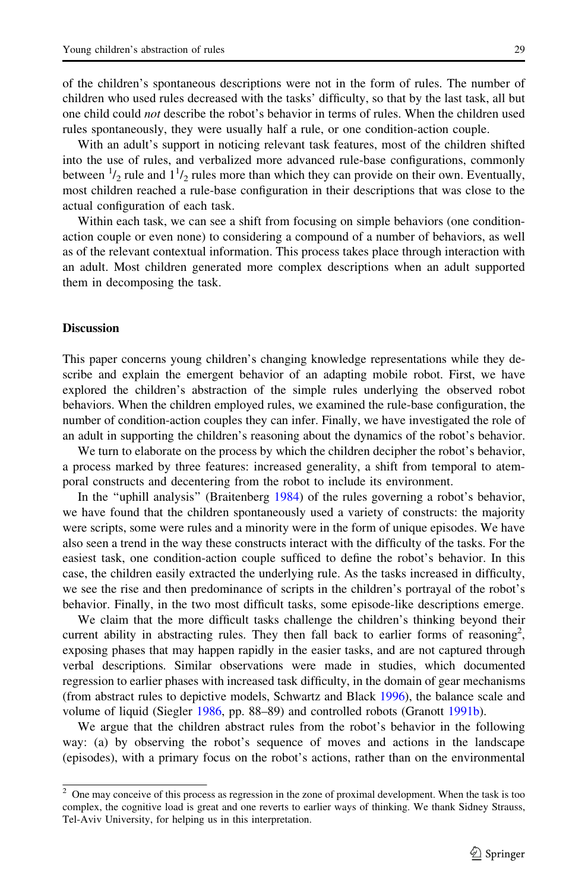of the children's spontaneous descriptions were not in the form of rules. The number of children who used rules decreased with the tasks' difficulty, so that by the last task, all but one child could not describe the robot's behavior in terms of rules. When the children used rules spontaneously, they were usually half a rule, or one condition-action couple.

With an adult's support in noticing relevant task features, most of the children shifted into the use of rules, and verbalized more advanced rule-base configurations, commonly between  $\frac{1}{2}$  rule and  $\frac{1}{2}$  rules more than which they can provide on their own. Eventually, most children reached a rule-base configuration in their descriptions that was close to the actual configuration of each task.

Within each task, we can see a shift from focusing on simple behaviors (one conditionaction couple or even none) to considering a compound of a number of behaviors, as well as of the relevant contextual information. This process takes place through interaction with an adult. Most children generated more complex descriptions when an adult supported them in decomposing the task.

# **Discussion**

This paper concerns young children's changing knowledge representations while they describe and explain the emergent behavior of an adapting mobile robot. First, we have explored the children's abstraction of the simple rules underlying the observed robot behaviors. When the children employed rules, we examined the rule-base configuration, the number of condition-action couples they can infer. Finally, we have investigated the role of an adult in supporting the children's reasoning about the dynamics of the robot's behavior.

We turn to elaborate on the process by which the children decipher the robot's behavior, a process marked by three features: increased generality, a shift from temporal to atemporal constructs and decentering from the robot to include its environment.

In the ''uphill analysis'' (Braitenberg [1984\)](#page-20-0) of the rules governing a robot's behavior, we have found that the children spontaneously used a variety of constructs: the majority were scripts, some were rules and a minority were in the form of unique episodes. We have also seen a trend in the way these constructs interact with the difficulty of the tasks. For the easiest task, one condition-action couple sufficed to define the robot's behavior. In this case, the children easily extracted the underlying rule. As the tasks increased in difficulty, we see the rise and then predominance of scripts in the children's portrayal of the robot's behavior. Finally, in the two most difficult tasks, some episode-like descriptions emerge.

We claim that the more difficult tasks challenge the children's thinking beyond their current ability in abstracting rules. They then fall back to earlier forms of reasoning<sup>2</sup>, exposing phases that may happen rapidly in the easier tasks, and are not captured through verbal descriptions. Similar observations were made in studies, which documented regression to earlier phases with increased task difficulty, in the domain of gear mechanisms (from abstract rules to depictive models, Schwartz and Black [1996\)](#page-21-0), the balance scale and volume of liquid (Siegler [1986,](#page-21-0) pp. 88–89) and controlled robots (Granott [1991b](#page-20-0)).

We argue that the children abstract rules from the robot's behavior in the following way: (a) by observing the robot's sequence of moves and actions in the landscape (episodes), with a primary focus on the robot's actions, rather than on the environmental

<sup>&</sup>lt;sup>2</sup> One may conceive of this process as regression in the zone of proximal development. When the task is too complex, the cognitive load is great and one reverts to earlier ways of thinking. We thank Sidney Strauss, Tel-Aviv University, for helping us in this interpretation.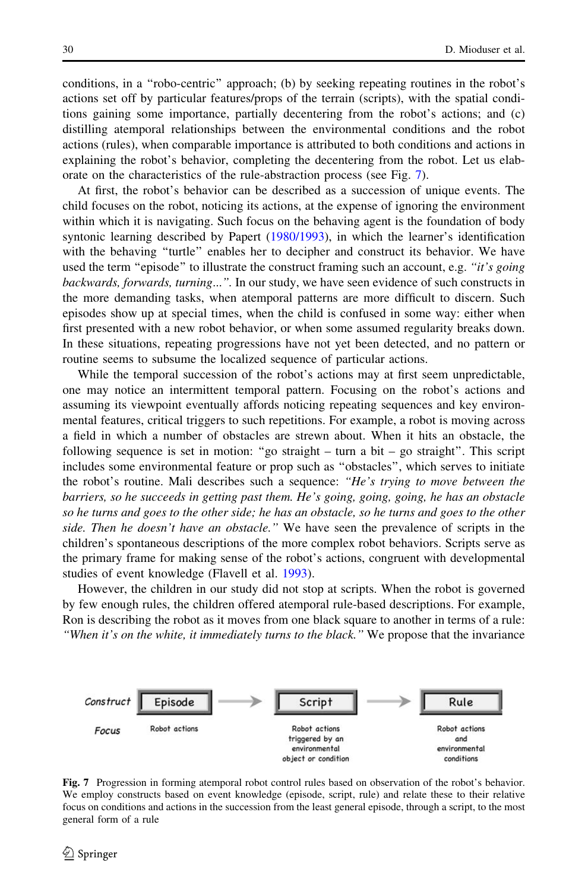conditions, in a ''robo-centric'' approach; (b) by seeking repeating routines in the robot's actions set off by particular features/props of the terrain (scripts), with the spatial conditions gaining some importance, partially decentering from the robot's actions; and (c) distilling atemporal relationships between the environmental conditions and the robot actions (rules), when comparable importance is attributed to both conditions and actions in explaining the robot's behavior, completing the decentering from the robot. Let us elaborate on the characteristics of the rule-abstraction process (see Fig. [7](#page-15-0)).

At first, the robot's behavior can be described as a succession of unique events. The child focuses on the robot, noticing its actions, at the expense of ignoring the environment within which it is navigating. Such focus on the behaving agent is the foundation of body syntonic learning described by Papert [\(1980/1993\)](#page-21-0), in which the learner's identification with the behaving "turtle" enables her to decipher and construct its behavior. We have used the term "episode" to illustrate the construct framing such an account, e.g. "it's going backwards, forwards, turning...". In our study, we have seen evidence of such constructs in the more demanding tasks, when atemporal patterns are more difficult to discern. Such episodes show up at special times, when the child is confused in some way: either when first presented with a new robot behavior, or when some assumed regularity breaks down. In these situations, repeating progressions have not yet been detected, and no pattern or routine seems to subsume the localized sequence of particular actions.

While the temporal succession of the robot's actions may at first seem unpredictable, one may notice an intermittent temporal pattern. Focusing on the robot's actions and assuming its viewpoint eventually affords noticing repeating sequences and key environmental features, critical triggers to such repetitions. For example, a robot is moving across a field in which a number of obstacles are strewn about. When it hits an obstacle, the following sequence is set in motion: ''go straight – turn a bit – go straight''. This script includes some environmental feature or prop such as ''obstacles'', which serves to initiate the robot's routine. Mali describes such a sequence: "He's trying to move between the barriers, so he succeeds in getting past them. He's going, going, going, he has an obstacle so he turns and goes to the other side; he has an obstacle, so he turns and goes to the other side. Then he doesn't have an obstacle." We have seen the prevalence of scripts in the children's spontaneous descriptions of the more complex robot behaviors. Scripts serve as the primary frame for making sense of the robot's actions, congruent with developmental studies of event knowledge (Flavell et al. [1993\)](#page-20-0).

However, the children in our study did not stop at scripts. When the robot is governed by few enough rules, the children offered atemporal rule-based descriptions. For example, Ron is describing the robot as it moves from one black square to another in terms of a rule: "When it's on the white, it immediately turns to the black." We propose that the invariance



<span id="page-15-0"></span>Fig. 7 Progression in forming atemporal robot control rules based on observation of the robot's behavior. We employ constructs based on event knowledge (episode, script, rule) and relate these to their relative focus on conditions and actions in the succession from the least general episode, through a script, to the most general form of a rule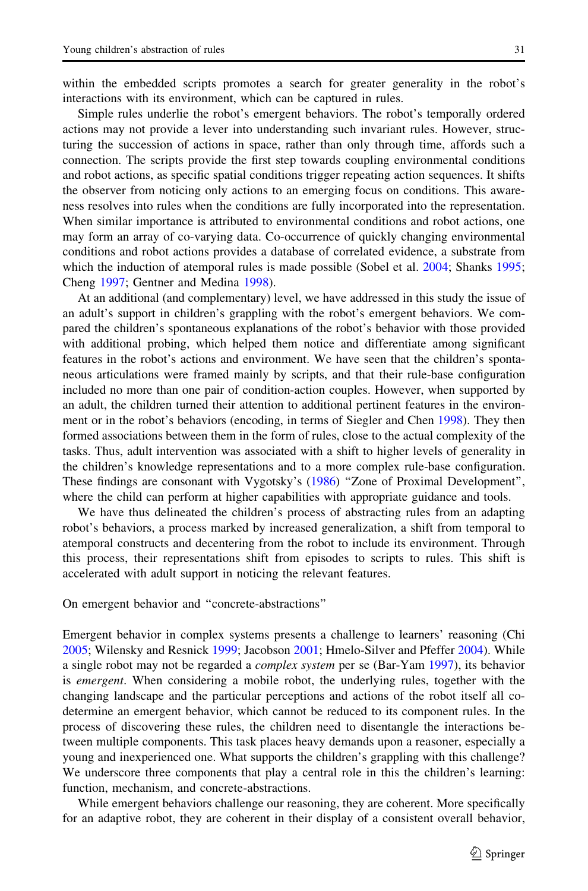within the embedded scripts promotes a search for greater generality in the robot's interactions with its environment, which can be captured in rules.

Simple rules underlie the robot's emergent behaviors. The robot's temporally ordered actions may not provide a lever into understanding such invariant rules. However, structuring the succession of actions in space, rather than only through time, affords such a connection. The scripts provide the first step towards coupling environmental conditions and robot actions, as specific spatial conditions trigger repeating action sequences. It shifts the observer from noticing only actions to an emerging focus on conditions. This awareness resolves into rules when the conditions are fully incorporated into the representation. When similar importance is attributed to environmental conditions and robot actions, one may form an array of co-varying data. Co-occurrence of quickly changing environmental conditions and robot actions provides a database of correlated evidence, a substrate from which the induction of atemporal rules is made possible (Sobel et al. [2004](#page-21-0); Shanks [1995;](#page-21-0) Cheng [1997;](#page-20-0) Gentner and Medina [1998\)](#page-20-0).

At an additional (and complementary) level, we have addressed in this study the issue of an adult's support in children's grappling with the robot's emergent behaviors. We compared the children's spontaneous explanations of the robot's behavior with those provided with additional probing, which helped them notice and differentiate among significant features in the robot's actions and environment. We have seen that the children's spontaneous articulations were framed mainly by scripts, and that their rule-base configuration included no more than one pair of condition-action couples. However, when supported by an adult, the children turned their attention to additional pertinent features in the environment or in the robot's behaviors (encoding, in terms of Siegler and Chen [1998\)](#page-21-0). They then formed associations between them in the form of rules, close to the actual complexity of the tasks. Thus, adult intervention was associated with a shift to higher levels of generality in the children's knowledge representations and to a more complex rule-base configuration. These findings are consonant with Vygotsky's [\(1986\)](#page-21-0) ''Zone of Proximal Development'', where the child can perform at higher capabilities with appropriate guidance and tools.

We have thus delineated the children's process of abstracting rules from an adapting robot's behaviors, a process marked by increased generalization, a shift from temporal to atemporal constructs and decentering from the robot to include its environment. Through this process, their representations shift from episodes to scripts to rules. This shift is accelerated with adult support in noticing the relevant features.

On emergent behavior and ''concrete-abstractions''

Emergent behavior in complex systems presents a challenge to learners' reasoning (Chi [2005;](#page-20-0) Wilensky and Resnick [1999;](#page-21-0) Jacobson [2001;](#page-20-0) Hmelo-Silver and Pfeffer [2004](#page-20-0)). While a single robot may not be regarded a complex system per se (Bar-Yam [1997](#page-20-0)), its behavior is *emergent*. When considering a mobile robot, the underlying rules, together with the changing landscape and the particular perceptions and actions of the robot itself all codetermine an emergent behavior, which cannot be reduced to its component rules. In the process of discovering these rules, the children need to disentangle the interactions between multiple components. This task places heavy demands upon a reasoner, especially a young and inexperienced one. What supports the children's grappling with this challenge? We underscore three components that play a central role in this the children's learning: function, mechanism, and concrete-abstractions.

While emergent behaviors challenge our reasoning, they are coherent. More specifically for an adaptive robot, they are coherent in their display of a consistent overall behavior,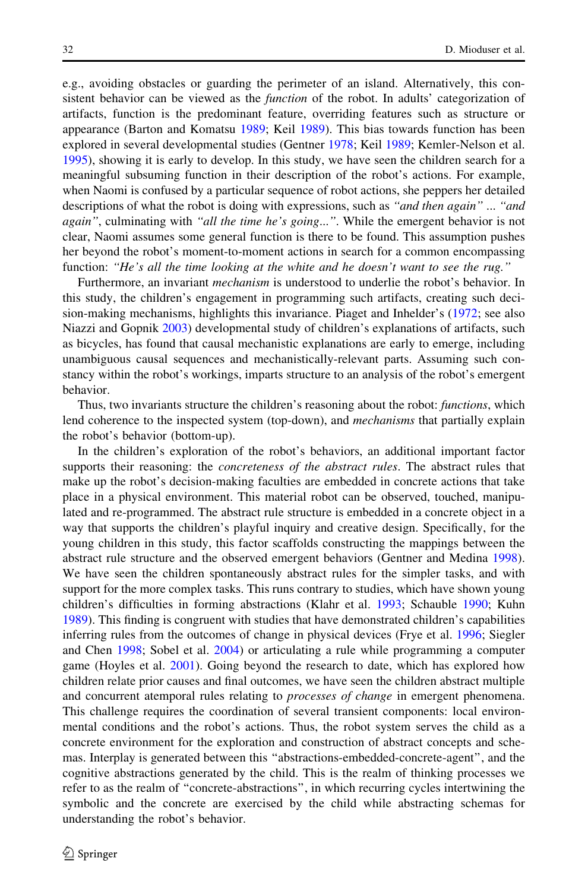e.g., avoiding obstacles or guarding the perimeter of an island. Alternatively, this consistent behavior can be viewed as the function of the robot. In adults' categorization of artifacts, function is the predominant feature, overriding features such as structure or appearance (Barton and Komatsu [1989](#page-20-0); Keil [1989](#page-20-0)). This bias towards function has been explored in several developmental studies (Gentner [1978](#page-20-0); Keil [1989](#page-20-0); Kemler-Nelson et al. [1995\)](#page-20-0), showing it is early to develop. In this study, we have seen the children search for a meaningful subsuming function in their description of the robot's actions. For example, when Naomi is confused by a particular sequence of robot actions, she peppers her detailed descriptions of what the robot is doing with expressions, such as "and then again" ... "and again", culminating with "all the time he's going...". While the emergent behavior is not clear, Naomi assumes some general function is there to be found. This assumption pushes her beyond the robot's moment-to-moment actions in search for a common encompassing function: "He's all the time looking at the white and he doesn't want to see the rug."

Furthermore, an invariant *mechanism* is understood to underlie the robot's behavior. In this study, the children's engagement in programming such artifacts, creating such decision-making mechanisms, highlights this invariance. Piaget and Inhelder's [\(1972](#page-21-0); see also Niazzi and Gopnik [2003](#page-21-0)) developmental study of children's explanations of artifacts, such as bicycles, has found that causal mechanistic explanations are early to emerge, including unambiguous causal sequences and mechanistically-relevant parts. Assuming such constancy within the robot's workings, imparts structure to an analysis of the robot's emergent behavior.

Thus, two invariants structure the children's reasoning about the robot: functions, which lend coherence to the inspected system (top-down), and *mechanisms* that partially explain the robot's behavior (bottom-up).

In the children's exploration of the robot's behaviors, an additional important factor supports their reasoning: the *concreteness of the abstract rules*. The abstract rules that make up the robot's decision-making faculties are embedded in concrete actions that take place in a physical environment. This material robot can be observed, touched, manipulated and re-programmed. The abstract rule structure is embedded in a concrete object in a way that supports the children's playful inquiry and creative design. Specifically, for the young children in this study, this factor scaffolds constructing the mappings between the abstract rule structure and the observed emergent behaviors (Gentner and Medina [1998](#page-20-0)). We have seen the children spontaneously abstract rules for the simpler tasks, and with support for the more complex tasks. This runs contrary to studies, which have shown young children's difficulties in forming abstractions (Klahr et al. [1993](#page-20-0); Schauble [1990;](#page-21-0) Kuhn [1989\)](#page-20-0). This finding is congruent with studies that have demonstrated children's capabilities inferring rules from the outcomes of change in physical devices (Frye et al. [1996](#page-20-0); Siegler and Chen [1998](#page-21-0); Sobel et al. [2004\)](#page-21-0) or articulating a rule while programming a computer game (Hoyles et al. [2001](#page-20-0)). Going beyond the research to date, which has explored how children relate prior causes and final outcomes, we have seen the children abstract multiple and concurrent atemporal rules relating to *processes of change* in emergent phenomena. This challenge requires the coordination of several transient components: local environmental conditions and the robot's actions. Thus, the robot system serves the child as a concrete environment for the exploration and construction of abstract concepts and schemas. Interplay is generated between this ''abstractions-embedded-concrete-agent'', and the cognitive abstractions generated by the child. This is the realm of thinking processes we refer to as the realm of ''concrete-abstractions'', in which recurring cycles intertwining the symbolic and the concrete are exercised by the child while abstracting schemas for understanding the robot's behavior.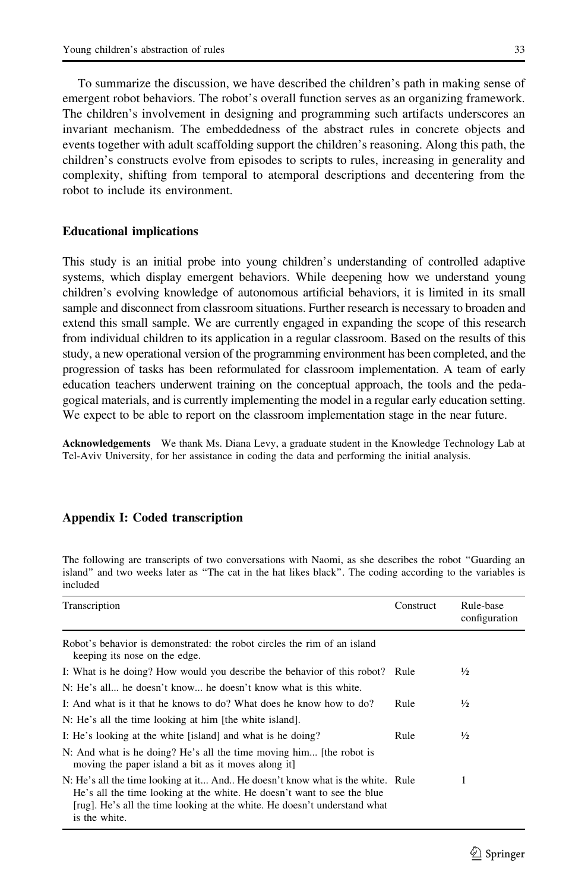To summarize the discussion, we have described the children's path in making sense of emergent robot behaviors. The robot's overall function serves as an organizing framework. The children's involvement in designing and programming such artifacts underscores an invariant mechanism. The embeddedness of the abstract rules in concrete objects and events together with adult scaffolding support the children's reasoning. Along this path, the children's constructs evolve from episodes to scripts to rules, increasing in generality and complexity, shifting from temporal to atemporal descriptions and decentering from the robot to include its environment.

# Educational implications

This study is an initial probe into young children's understanding of controlled adaptive systems, which display emergent behaviors. While deepening how we understand young children's evolving knowledge of autonomous artificial behaviors, it is limited in its small sample and disconnect from classroom situations. Further research is necessary to broaden and extend this small sample. We are currently engaged in expanding the scope of this research from individual children to its application in a regular classroom. Based on the results of this study, a new operational version of the programming environment has been completed, and the progression of tasks has been reformulated for classroom implementation. A team of early education teachers underwent training on the conceptual approach, the tools and the pedagogical materials, and is currently implementing the model in a regular early education setting. We expect to be able to report on the classroom implementation stage in the near future.

Acknowledgements We thank Ms. Diana Levy, a graduate student in the Knowledge Technology Lab at Tel-Aviv University, for her assistance in coding the data and performing the initial analysis.

# Appendix I: Coded transcription

The following are transcripts of two conversations with Naomi, as she describes the robot ''Guarding an island'' and two weeks later as ''The cat in the hat likes black''. The coding according to the variables is included

| Transcription                                                                                                                                                                                                                                           | Construct | Rule-base<br>configuration |
|---------------------------------------------------------------------------------------------------------------------------------------------------------------------------------------------------------------------------------------------------------|-----------|----------------------------|
| Robot's behavior is demonstrated: the robot circles the rim of an island<br>keeping its nose on the edge.                                                                                                                                               |           |                            |
| I: What is he doing? How would you describe the behavior of this robot? Rule                                                                                                                                                                            |           | $\frac{1}{2}$              |
| N: He's all he doesn't know he doesn't know what is this white.                                                                                                                                                                                         |           |                            |
| I: And what is it that he knows to do? What does he know how to do?                                                                                                                                                                                     | Rule      | $\frac{1}{2}$              |
| N: He's all the time looking at him [the white island].                                                                                                                                                                                                 |           |                            |
| I: He's looking at the white [island] and what is he doing?                                                                                                                                                                                             | Rule      | $\frac{1}{2}$              |
| N: And what is he doing? He's all the time moving him [the robot is<br>moving the paper island a bit as it moves along it                                                                                                                               |           |                            |
| N: He's all the time looking at it And He doesn't know what is the white. Rule<br>He's all the time looking at the white. He doesn't want to see the blue<br>[rug]. He's all the time looking at the white. He doesn't understand what<br>is the white. |           | 1                          |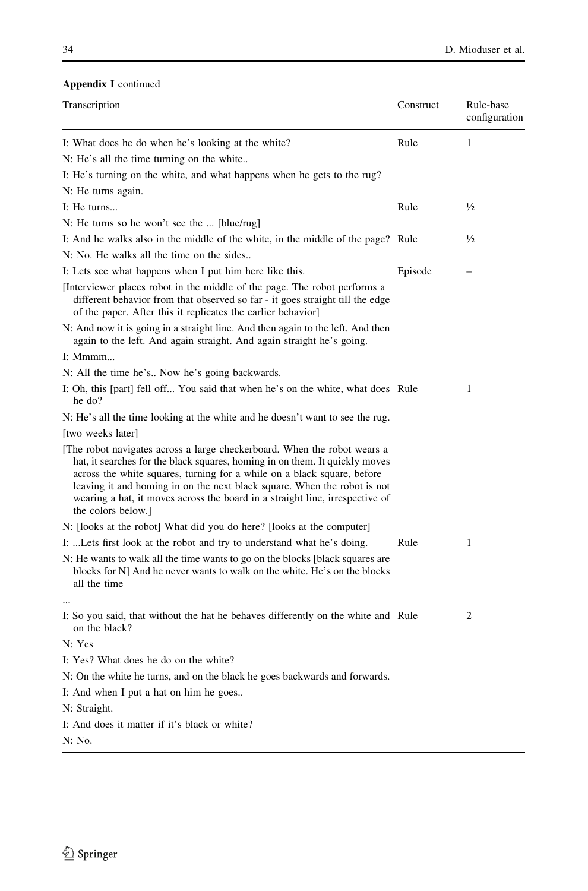# Appendix I continued

| Transcription                                                                                                                                                                                                                                                                                                                                                                                                        | Construct | Rule-base<br>configuration |
|----------------------------------------------------------------------------------------------------------------------------------------------------------------------------------------------------------------------------------------------------------------------------------------------------------------------------------------------------------------------------------------------------------------------|-----------|----------------------------|
| I: What does he do when he's looking at the white?                                                                                                                                                                                                                                                                                                                                                                   | Rule      | 1                          |
| N: He's all the time turning on the white                                                                                                                                                                                                                                                                                                                                                                            |           |                            |
| I: He's turning on the white, and what happens when he gets to the rug?                                                                                                                                                                                                                                                                                                                                              |           |                            |
| N: He turns again.                                                                                                                                                                                                                                                                                                                                                                                                   |           |                            |
| I: He turns                                                                                                                                                                                                                                                                                                                                                                                                          | Rule      | $\frac{1}{2}$              |
| N: He turns so he won't see the  [blue/rug]                                                                                                                                                                                                                                                                                                                                                                          |           |                            |
| I: And he walks also in the middle of the white, in the middle of the page? Rule                                                                                                                                                                                                                                                                                                                                     |           | $\frac{1}{2}$              |
| N: No. He walks all the time on the sides                                                                                                                                                                                                                                                                                                                                                                            |           |                            |
| I: Lets see what happens when I put him here like this.                                                                                                                                                                                                                                                                                                                                                              | Episode   |                            |
| [Interviewer places robot in the middle of the page. The robot performs a<br>different behavior from that observed so far - it goes straight till the edge<br>of the paper. After this it replicates the earlier behavior]                                                                                                                                                                                           |           |                            |
| N: And now it is going in a straight line. And then again to the left. And then<br>again to the left. And again straight. And again straight he's going.                                                                                                                                                                                                                                                             |           |                            |
| I: Mmmm                                                                                                                                                                                                                                                                                                                                                                                                              |           |                            |
| N: All the time he's Now he's going backwards.                                                                                                                                                                                                                                                                                                                                                                       |           |                            |
| I: Oh, this [part] fell off You said that when he's on the white, what does Rule<br>he do?                                                                                                                                                                                                                                                                                                                           |           | 1                          |
| N: He's all the time looking at the white and he doesn't want to see the rug.                                                                                                                                                                                                                                                                                                                                        |           |                            |
| [two weeks later]                                                                                                                                                                                                                                                                                                                                                                                                    |           |                            |
| [The robot navigates across a large checkerboard. When the robot wears a<br>hat, it searches for the black squares, homing in on them. It quickly moves<br>across the white squares, turning for a while on a black square, before<br>leaving it and homing in on the next black square. When the robot is not<br>wearing a hat, it moves across the board in a straight line, irrespective of<br>the colors below.] |           |                            |
| N: [looks at the robot] What did you do here? [looks at the computer]                                                                                                                                                                                                                                                                                                                                                |           |                            |
| I:  Lets first look at the robot and try to understand what he's doing.                                                                                                                                                                                                                                                                                                                                              | Rule      | 1                          |
| N: He wants to walk all the time wants to go on the blocks [black squares are<br>blocks for N And he never wants to walk on the white. He's on the blocks<br>all the time                                                                                                                                                                                                                                            |           |                            |
|                                                                                                                                                                                                                                                                                                                                                                                                                      |           |                            |
| I: So you said, that without the hat he behaves differently on the white and Rule<br>on the black?                                                                                                                                                                                                                                                                                                                   |           | 2                          |
| N: Yes                                                                                                                                                                                                                                                                                                                                                                                                               |           |                            |
| I: Yes? What does he do on the white?                                                                                                                                                                                                                                                                                                                                                                                |           |                            |
| N: On the white he turns, and on the black he goes backwards and forwards.                                                                                                                                                                                                                                                                                                                                           |           |                            |
| I: And when I put a hat on him he goes                                                                                                                                                                                                                                                                                                                                                                               |           |                            |
| N: Straight.                                                                                                                                                                                                                                                                                                                                                                                                         |           |                            |
| I: And does it matter if it's black or white?                                                                                                                                                                                                                                                                                                                                                                        |           |                            |
| N: No.                                                                                                                                                                                                                                                                                                                                                                                                               |           |                            |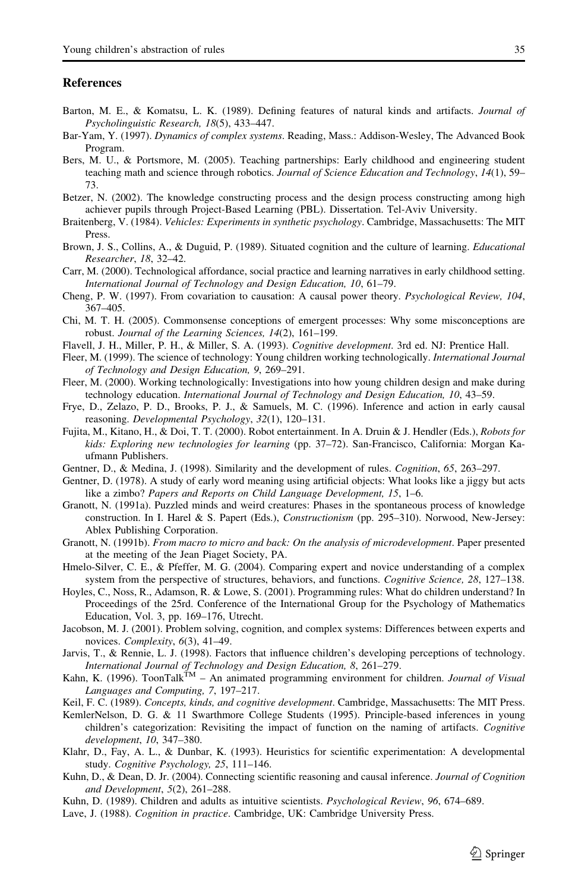## **References**

- Barton, M. E., & Komatsu, L. K. (1989). Defining features of natural kinds and artifacts. Journal of Psycholinguistic Research, 18(5), 433–447.
- Bar-Yam, Y. (1997). Dynamics of complex systems. Reading, Mass.: Addison-Wesley, The Advanced Book Program.
- Bers, M. U., & Portsmore, M. (2005). Teaching partnerships: Early childhood and engineering student teaching math and science through robotics. Journal of Science Education and Technology, 14(1), 59– 73.
- Betzer, N. (2002). The knowledge constructing process and the design process constructing among high achiever pupils through Project-Based Learning (PBL). Dissertation. Tel-Aviv University.
- Braitenberg, V. (1984). Vehicles: Experiments in synthetic psychology. Cambridge, Massachusetts: The MIT Press.
- Brown, J. S., Collins, A., & Duguid, P. (1989). Situated cognition and the culture of learning. *Educational* Researcher, 18, 32–42.
- Carr, M. (2000). Technological affordance, social practice and learning narratives in early childhood setting. International Journal of Technology and Design Education, 10, 61–79.
- Cheng, P. W. (1997). From covariation to causation: A causal power theory. Psychological Review, 104, 367–405.
- Chi, M. T. H. (2005). Commonsense conceptions of emergent processes: Why some misconceptions are robust. Journal of the Learning Sciences, 14(2), 161–199.
- Flavell, J. H., Miller, P. H., & Miller, S. A. (1993). Cognitive development. 3rd ed. NJ: Prentice Hall.
- Fleer, M. (1999). The science of technology: Young children working technologically. International Journal of Technology and Design Education, 9, 269–291.
- Fleer, M. (2000). Working technologically: Investigations into how young children design and make during technology education. International Journal of Technology and Design Education, 10, 43–59.
- Frye, D., Zelazo, P. D., Brooks, P. J., & Samuels, M. C. (1996). Inference and action in early causal reasoning. Developmental Psychology, 32(1), 120–131.
- Fujita, M., Kitano, H., & Doi, T. T. (2000). Robot entertainment. In A. Druin & J. Hendler (Eds.), Robots for kids: Exploring new technologies for learning (pp. 37–72). San-Francisco, California: Morgan Kaufmann Publishers.
- Gentner, D., & Medina, J. (1998). Similarity and the development of rules. Cognition, 65, 263–297.
- Gentner, D. (1978). A study of early word meaning using artificial objects: What looks like a jiggy but acts like a zimbo? Papers and Reports on Child Language Development, 15, 1–6.
- Granott, N. (1991a). Puzzled minds and weird creatures: Phases in the spontaneous process of knowledge construction. In I. Harel & S. Papert (Eds.), Constructionism (pp. 295–310). Norwood, New-Jersey: Ablex Publishing Corporation.
- Granott, N. (1991b). From macro to micro and back: On the analysis of microdevelopment. Paper presented at the meeting of the Jean Piaget Society, PA.
- Hmelo-Silver, C. E., & Pfeffer, M. G. (2004). Comparing expert and novice understanding of a complex system from the perspective of structures, behaviors, and functions. Cognitive Science, 28, 127–138.
- Hoyles, C., Noss, R., Adamson, R. & Lowe, S. (2001). Programming rules: What do children understand? In Proceedings of the 25rd. Conference of the International Group for the Psychology of Mathematics Education, Vol. 3, pp. 169–176, Utrecht.
- Jacobson, M. J. (2001). Problem solving, cognition, and complex systems: Differences between experts and novices. Complexity, 6(3), 41–49.
- Jarvis, T., & Rennie, L. J. (1998). Factors that influence children's developing perceptions of technology. International Journal of Technology and Design Education, 8, 261–279.
- Kahn, K. (1996). ToonTalk<sup>TM</sup> An animated programming environment for children. Journal of Visual Languages and Computing, 7, 197–217.
- Keil, F. C. (1989). Concepts, kinds, and cognitive development. Cambridge, Massachusetts: The MIT Press.
- KemlerNelson, D. G. & 11 Swarthmore College Students (1995). Principle-based inferences in young children's categorization: Revisiting the impact of function on the naming of artifacts. Cognitive development, 10, 347–380.
- Klahr, D., Fay, A. L., & Dunbar, K. (1993). Heuristics for scientific experimentation: A developmental study. Cognitive Psychology, 25, 111–146.
- Kuhn, D., & Dean, D. Jr. (2004). Connecting scientific reasoning and causal inference. Journal of Cognition and Development, 5(2), 261–288.
- Kuhn, D. (1989). Children and adults as intuitive scientists. *Psychological Review*, 96, 674–689.
- <span id="page-20-0"></span>Lave, J. (1988). Cognition in practice. Cambridge, UK: Cambridge University Press.